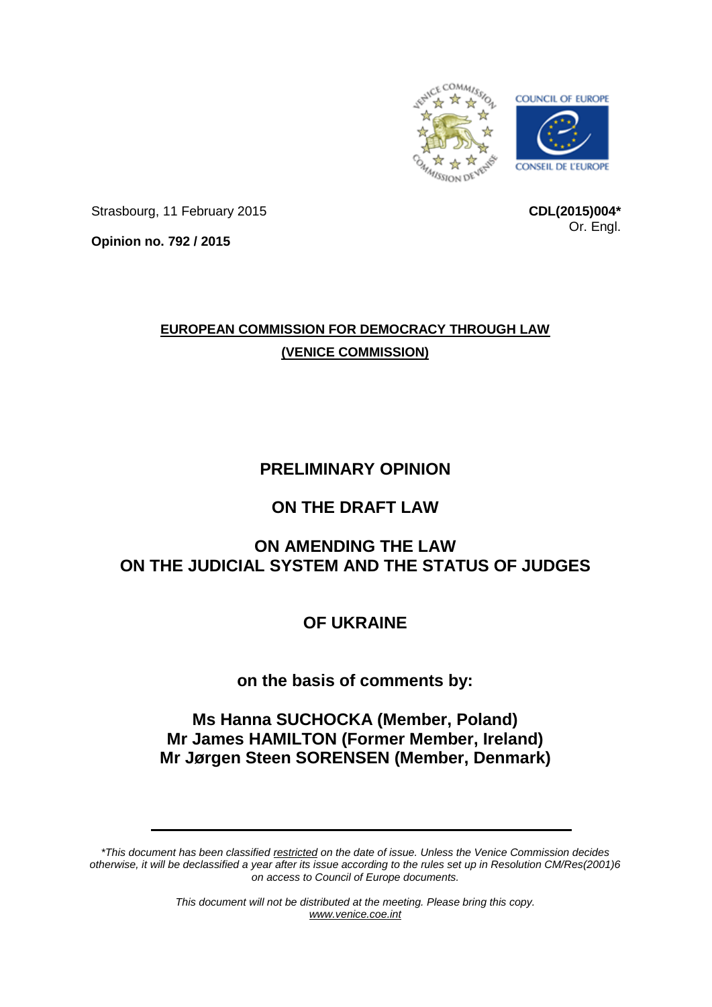

Strasbourg, 11 February 2015

**CDL(2015)004\*** Or. Engl.

**Opinion no. 792 / 2015**

## **EUROPEAN COMMISSION FOR DEMOCRACY THROUGH LAW (VENICE COMMISSION)**

# **PRELIMINARY OPINION**

## **ON THE DRAFT LAW**

## **ON AMENDING THE LAW ON THE JUDICIAL SYSTEM AND THE STATUS OF JUDGES**

# **OF UKRAINE**

## **on the basis of comments by:**

## **Ms Hanna SUCHOCKA (Member, Poland) Mr James HAMILTON (Former Member, Ireland) Mr Jørgen Steen SORENSEN (Member, Denmark)**

*\*This document has been classified restricted on the date of issue. Unless the Venice Commission decides otherwise, it will be declassified a year after its issue according to the rules set up in Resolution CM/Res(2001)6 on access to Council of Europe documents.*

> *This document will not be distributed at the meeting. Please bring this copy. [www.venice.coe.int](http://www.venice.coe.int/)*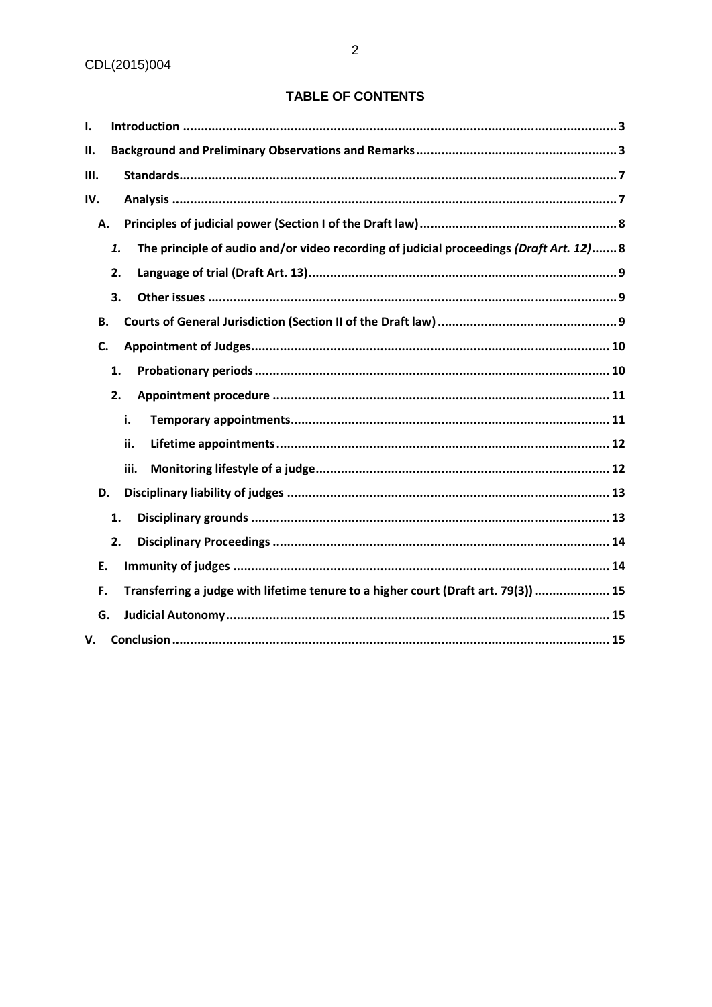## TABLE OF CONTENTS

| I.  |                                                                                               |
|-----|-----------------------------------------------------------------------------------------------|
| П.  |                                                                                               |
| Ш.  |                                                                                               |
| IV. |                                                                                               |
| А.  |                                                                                               |
|     | The principle of audio and/or video recording of judicial proceedings (Draft Art. 12) 8<br>1. |
|     | 2.                                                                                            |
|     | 3.                                                                                            |
| Β.  |                                                                                               |
| C.  |                                                                                               |
|     | 1.                                                                                            |
|     | 2.                                                                                            |
|     | i.                                                                                            |
|     | ii.                                                                                           |
|     | iii.                                                                                          |
| D.  |                                                                                               |
|     | 1.                                                                                            |
|     | 2.                                                                                            |
| Ε.  |                                                                                               |
| F.  | Transferring a judge with lifetime tenure to a higher court (Draft art. 79(3))  15            |
| G.  |                                                                                               |
| V.  |                                                                                               |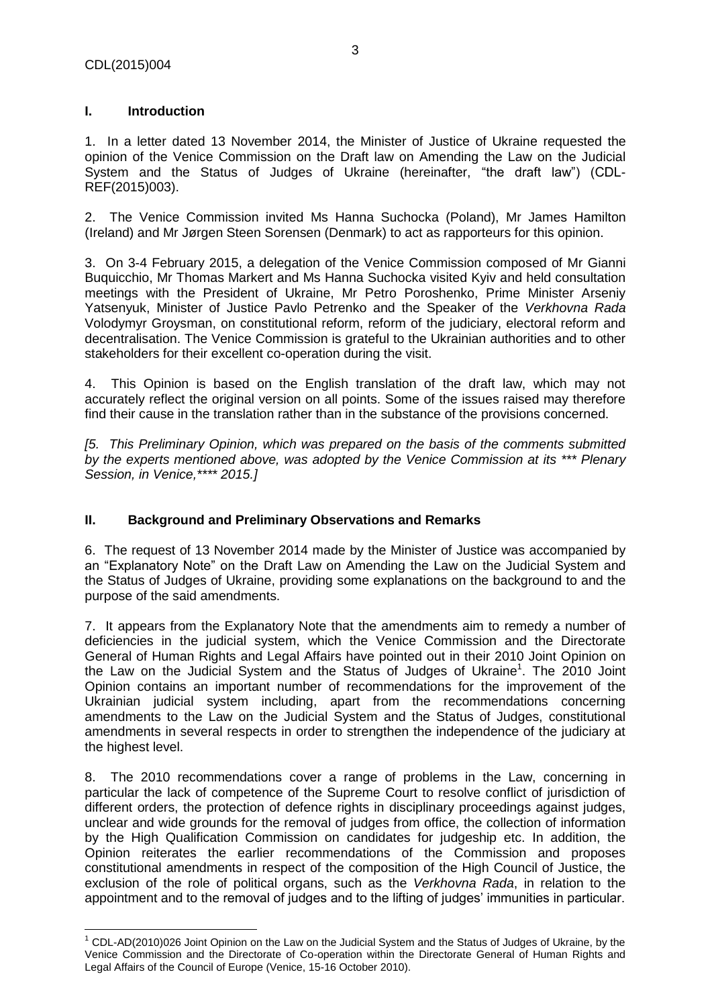$\overline{\phantom{a}}$ 

## <span id="page-2-0"></span>**I. Introduction**

1. In a letter dated 13 November 2014, the Minister of Justice of Ukraine requested the opinion of the Venice Commission on the Draft law on Amending the Law on the Judicial System and the Status of Judges of Ukraine (hereinafter, "the draft law") (CDL-REF(2015)003).

2. The Venice Commission invited Ms Hanna Suchocka (Poland), Mr James Hamilton (Ireland) and Mr Jørgen Steen Sorensen (Denmark) to act as rapporteurs for this opinion.

3. On 3-4 February 2015, a delegation of the Venice Commission composed of Mr Gianni Buquicchio, Mr Thomas Markert and Ms Hanna Suchocka visited Kyiv and held consultation meetings with the President of Ukraine, Mr Petro Poroshenko, Prime Minister Arseniy Yatsenyuk, Minister of Justice Pavlo Petrenko and the Speaker of the *Verkhovna Rada*  Volodymyr Groysman, on constitutional reform, reform of the judiciary, electoral reform and decentralisation. The Venice Commission is grateful to the Ukrainian authorities and to other stakeholders for their excellent co-operation during the visit.

4. This Opinion is based on the English translation of the draft law, which may not accurately reflect the original version on all points. Some of the issues raised may therefore find their cause in the translation rather than in the substance of the provisions concerned.

*[5. This Preliminary Opinion, which was prepared on the basis of the comments submitted by the experts mentioned above, was adopted by the Venice Commission at its \*\*\* Plenary Session, in Venice,\*\*\*\* 2015.]*

#### <span id="page-2-1"></span>**II. Background and Preliminary Observations and Remarks**

6. The request of 13 November 2014 made by the Minister of Justice was accompanied by an "Explanatory Note" on the Draft Law on Amending the Law on the Judicial System and the Status of Judges of Ukraine, providing some explanations on the background to and the purpose of the said amendments.

7. It appears from the Explanatory Note that the amendments aim to remedy a number of deficiencies in the judicial system, which the Venice Commission and the Directorate General of Human Rights and Legal Affairs have pointed out in their 2010 Joint Opinion on the Law on the Judicial System and the Status of Judges of Ukraine<sup>1</sup>. The 2010 Joint Opinion contains an important number of recommendations for the improvement of the Ukrainian judicial system including, apart from the recommendations concerning amendments to the Law on the Judicial System and the Status of Judges, constitutional amendments in several respects in order to strengthen the independence of the judiciary at the highest level.

8. The 2010 recommendations cover a range of problems in the Law, concerning in particular the lack of competence of the Supreme Court to resolve conflict of jurisdiction of different orders, the protection of defence rights in disciplinary proceedings against judges, unclear and wide grounds for the removal of judges from office, the collection of information by the High Qualification Commission on candidates for judgeship etc. In addition, the Opinion reiterates the earlier recommendations of the Commission and proposes constitutional amendments in respect of the composition of the High Council of Justice, the exclusion of the role of political organs, such as the *Verkhovna Rada*, in relation to the appointment and to the removal of judges and to the lifting of judges' immunities in particular.

 $1$  CDL-AD(2010)026 Joint Opinion on the Law on the Judicial System and the Status of Judges of Ukraine, by the Venice Commission and the Directorate of Co-operation within the Directorate General of Human Rights and Legal Affairs of the Council of Europe (Venice, 15-16 October 2010).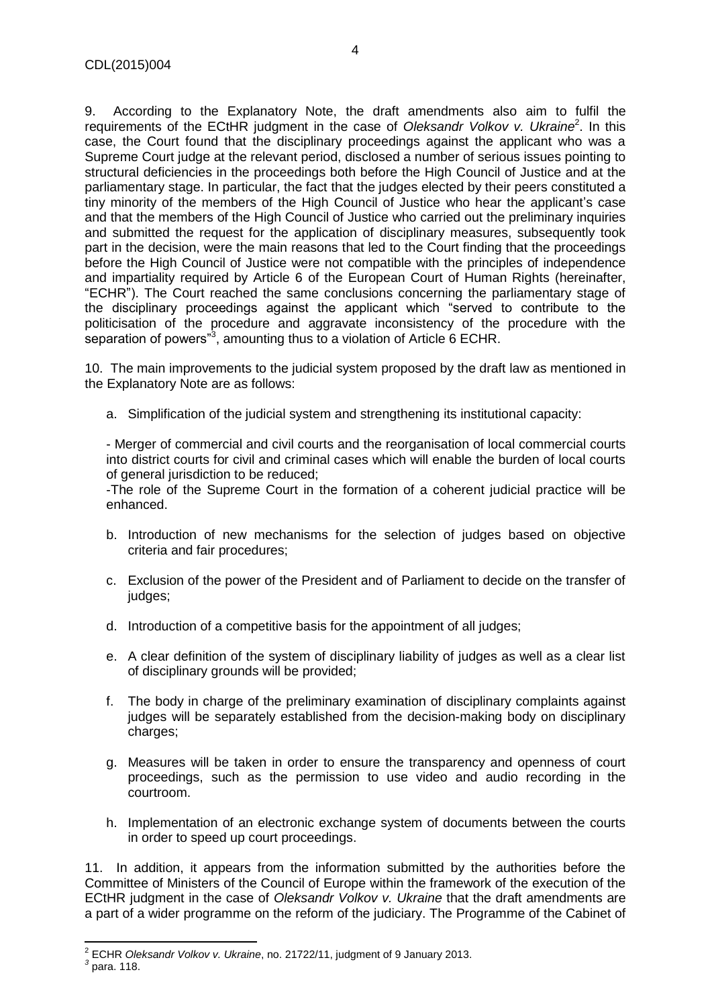9. According to the Explanatory Note, the draft amendments also aim to fulfil the requirements of the ECtHR judgment in the case of Oleksandr Volkov v. Ukraine<sup>2</sup>. In this case, the Court found that the disciplinary proceedings against the applicant who was a Supreme Court judge at the relevant period, disclosed a number of serious issues pointing to structural deficiencies in the proceedings both before the High Council of Justice and at the parliamentary stage. In particular, the fact that the judges elected by their peers constituted a tiny minority of the members of the High Council of Justice who hear the applicant's case and that the members of the High Council of Justice who carried out the preliminary inquiries and submitted the request for the application of disciplinary measures, subsequently took part in the decision, were the main reasons that led to the Court finding that the proceedings before the High Council of Justice were not compatible with the principles of independence and impartiality required by Article 6 of the European Court of Human Rights (hereinafter, "ECHR"). The Court reached the same conclusions concerning the parliamentary stage of the disciplinary proceedings against the applicant which "served to contribute to the politicisation of the procedure and aggravate inconsistency of the procedure with the separation of powers"<sup>3</sup>, amounting thus to a violation of Article 6 ECHR.

10. The main improvements to the judicial system proposed by the draft law as mentioned in the Explanatory Note are as follows:

a. Simplification of the judicial system and strengthening its institutional capacity:

- Merger of commercial and civil courts and the reorganisation of local commercial courts into district courts for civil and criminal cases which will enable the burden of local courts of general jurisdiction to be reduced;

-The role of the Supreme Court in the formation of a coherent judicial practice will be enhanced.

- b. Introduction of new mechanisms for the selection of judges based on objective criteria and fair procedures;
- c. Exclusion of the power of the President and of Parliament to decide on the transfer of judges;
- d. Introduction of a competitive basis for the appointment of all judges;
- e. A clear definition of the system of disciplinary liability of judges as well as a clear list of disciplinary grounds will be provided;
- f. The body in charge of the preliminary examination of disciplinary complaints against judges will be separately established from the decision-making body on disciplinary charges;
- g. Measures will be taken in order to ensure the transparency and openness of court proceedings, such as the permission to use video and audio recording in the courtroom.
- h. Implementation of an electronic exchange system of documents between the courts in order to speed up court proceedings.

11. In addition, it appears from the information submitted by the authorities before the Committee of Ministers of the Council of Europe within the framework of the execution of the ECtHR judgment in the case of *Oleksandr Volkov v. Ukraine* that the draft amendments are a part of a wider programme on the reform of the judiciary. The Programme of the Cabinet of

 2 ECHR *Oleksandr Volkov v. Ukraine*, no. 21722/11, judgment of 9 January 2013.

*<sup>3</sup>* para. 118.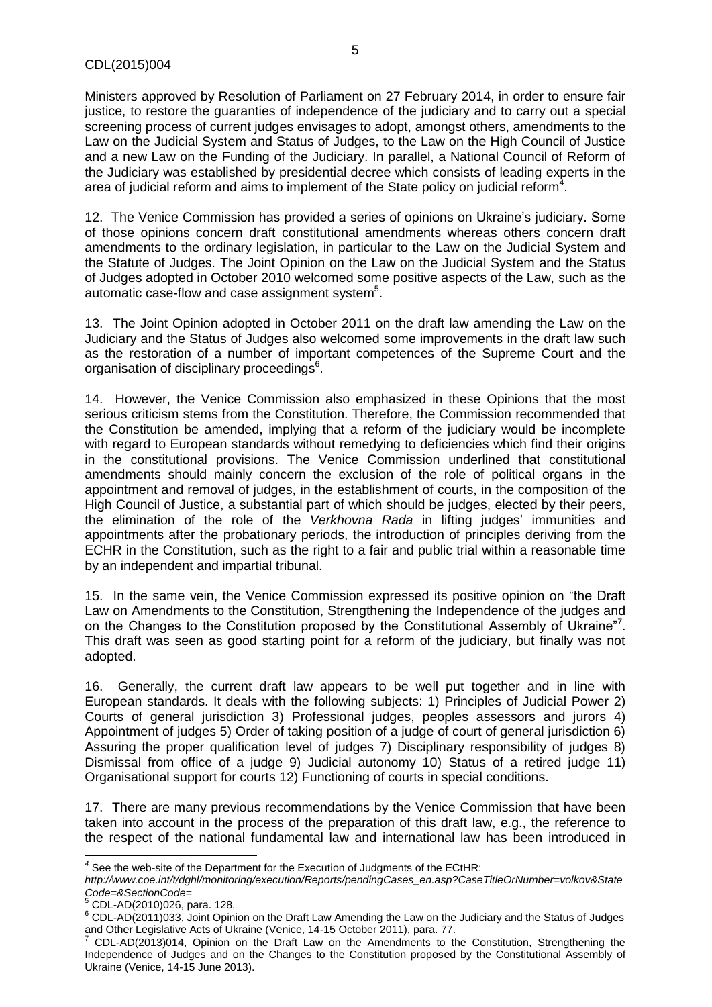Ministers approved by Resolution of Parliament on 27 February 2014, in order to ensure fair justice, to restore the guaranties of independence of the judiciary and to carry out a special screening process of current judges envisages to adopt, amongst others, amendments to the Law on the Judicial System and Status of Judges, to the Law on the High Council of Justice and a new Law on the Funding of the Judiciary. In parallel, a National Council of Reform of the Judiciary was established by presidential decree which consists of leading experts in the area of judicial reform and aims to implement of the State policy on judicial reform<sup>4</sup>.

12. The Venice Commission has provided a series of opinions on Ukraine's judiciary. Some of those opinions concern draft constitutional amendments whereas others concern draft amendments to the ordinary legislation, in particular to the Law on the Judicial System and the Statute of Judges. The Joint Opinion on the Law on the Judicial System and the Status of Judges adopted in October 2010 welcomed some positive aspects of the Law, such as the automatic case-flow and case assignment system $5$ .

13. The Joint Opinion adopted in October 2011 on the draft law amending the Law on the Judiciary and the Status of Judges also welcomed some improvements in the draft law such as the restoration of a number of important competences of the Supreme Court and the organisation of disciplinary proceedings<sup>6</sup>.

14. However, the Venice Commission also emphasized in these Opinions that the most serious criticism stems from the Constitution. Therefore, the Commission recommended that the Constitution be amended, implying that a reform of the judiciary would be incomplete with regard to European standards without remedying to deficiencies which find their origins in the constitutional provisions. The Venice Commission underlined that constitutional amendments should mainly concern the exclusion of the role of political organs in the appointment and removal of judges, in the establishment of courts, in the composition of the High Council of Justice, a substantial part of which should be judges, elected by their peers, the elimination of the role of the *Verkhovna Rada* in lifting judges' immunities and appointments after the probationary periods, the introduction of principles deriving from the ECHR in the Constitution, such as the right to a fair and public trial within a reasonable time by an independent and impartial tribunal.

15. In the same vein, the Venice Commission expressed its positive opinion on "the Draft Law on Amendments to the Constitution, Strengthening the Independence of the judges and on the Changes to the Constitution proposed by the Constitutional Assembly of Ukraine"7. This draft was seen as good starting point for a reform of the judiciary, but finally was not adopted.

16. Generally, the current draft law appears to be well put together and in line with European standards. It deals with the following subjects: 1) Principles of Judicial Power 2) Courts of general jurisdiction 3) Professional judges, peoples assessors and jurors 4) Appointment of judges 5) Order of taking position of a judge of court of general jurisdiction 6) Assuring the proper qualification level of judges 7) Disciplinary responsibility of judges 8) Dismissal from office of a judge 9) Judicial autonomy 10) Status of a retired judge 11) Organisational support for courts 12) Functioning of courts in special conditions.

17. There are many previous recommendations by the Venice Commission that have been taken into account in the process of the preparation of this draft law, e.g., the reference to the respect of the national fundamental law and international law has been introduced in

 *4* See the web-site of the Department for the Execution of Judgments of the ECtHR:

*http://www.coe.int/t/dghl/monitoring/execution/Reports/pendingCases\_en.asp?CaseTitleOrNumber=volkov&State Code=&SectionCode=*

<sup>5</sup> CDL-AD(2010)026, para. 128.

<sup>6</sup> CDL-AD(2011)033, Joint Opinion on the Draft Law Amending the Law on the Judiciary and the Status of Judges and Other Legislative Acts of Ukraine (Venice, 14-15 October 2011), para. 77.

<sup>7</sup> CDL-AD(2013)014, Opinion on the Draft Law on the Amendments to the Constitution, Strengthening the Independence of Judges and on the Changes to the Constitution proposed by the Constitutional Assembly of Ukraine (Venice, 14-15 June 2013).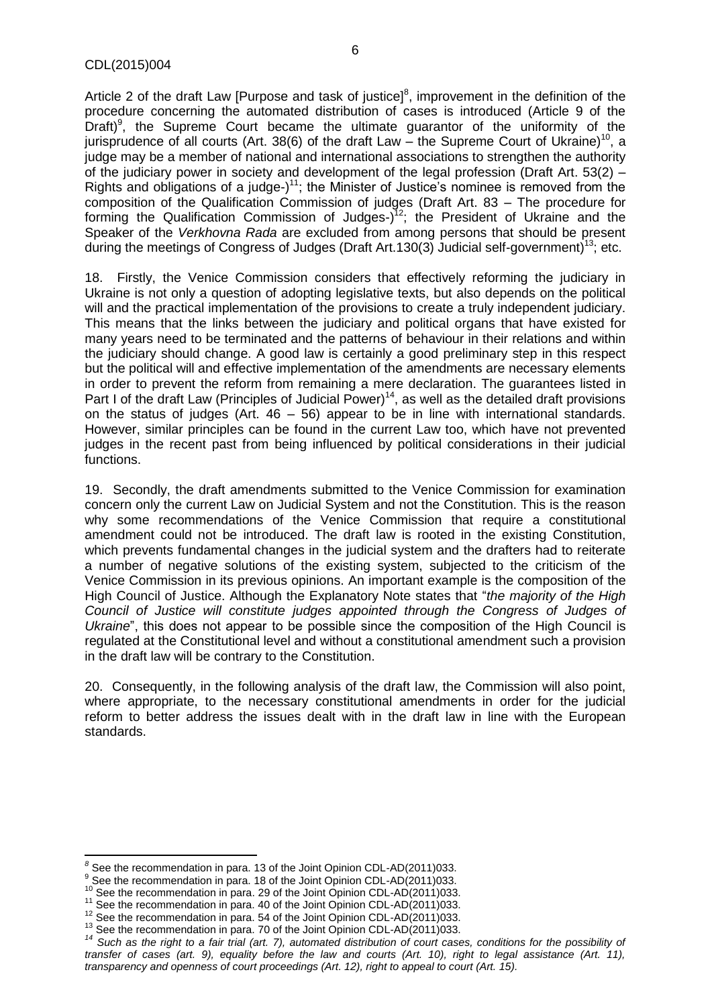Article 2 of the draft Law [Purpose and task of justice] $<sup>8</sup>$ , improvement in the definition of the</sup> procedure concerning the automated distribution of cases is introduced (Article 9 of the Draft)<sup>9</sup>, the Supreme Court became the ultimate guarantor of the uniformity of the jurisprudence of all courts (Art. 38(6) of the draft Law – the Supreme Court of Ukraine)<sup>10</sup>, a judge may be a member of national and international associations to strengthen the authority of the judiciary power in society and development of the legal profession (Draft Art.  $53(2)$  – Rights and obligations of a judge- $1^{11}$ ; the Minister of Justice's nominee is removed from the composition of the Qualification Commission of judges (Draft Art. 83 – The procedure for forming the Qualification Commission of Judges-)<sup>12</sup>; the President of Ukraine and the Speaker of the *Verkhovna Rada* are excluded from among persons that should be present during the meetings of Congress of Judges (Draft Art. 130(3) Judicial self-government)<sup>13</sup>; etc.

18. Firstly, the Venice Commission considers that effectively reforming the judiciary in Ukraine is not only a question of adopting legislative texts, but also depends on the political will and the practical implementation of the provisions to create a truly independent judiciary. This means that the links between the judiciary and political organs that have existed for many years need to be terminated and the patterns of behaviour in their relations and within the judiciary should change. A good law is certainly a good preliminary step in this respect but the political will and effective implementation of the amendments are necessary elements in order to prevent the reform from remaining a mere declaration. The guarantees listed in Part I of the draft Law (Principles of Judicial Power)<sup>14</sup>, as well as the detailed draft provisions on the status of judges (Art. 46 – 56) appear to be in line with international standards. However, similar principles can be found in the current Law too, which have not prevented judges in the recent past from being influenced by political considerations in their judicial functions.

19. Secondly, the draft amendments submitted to the Venice Commission for examination concern only the current Law on Judicial System and not the Constitution. This is the reason why some recommendations of the Venice Commission that require a constitutional amendment could not be introduced. The draft law is rooted in the existing Constitution, which prevents fundamental changes in the judicial system and the drafters had to reiterate a number of negative solutions of the existing system, subjected to the criticism of the Venice Commission in its previous opinions. An important example is the composition of the High Council of Justice. Although the Explanatory Note states that "*the majority of the High*  Council of Justice will constitute judges appointed through the Congress of Judges of *Ukraine*", this does not appear to be possible since the composition of the High Council is regulated at the Constitutional level and without a constitutional amendment such a provision in the draft law will be contrary to the Constitution.

20. Consequently, in the following analysis of the draft law, the Commission will also point, where appropriate, to the necessary constitutional amendments in order for the judicial reform to better address the issues dealt with in the draft law in line with the European standards.

 *8* See the recommendation in para. 13 of the Joint Opinion CDL-AD(2011)033.

 $9$  See the recommendation in para. 18 of the Joint Opinion CDL-AD(2011)033.

<sup>&</sup>lt;sup>10</sup> See the recommendation in para. 29 of the Joint Opinion CDL-AD(2011)033.

<sup>&</sup>lt;sup>11</sup> See the recommendation in para. 40 of the Joint Opinion CDL-AD(2011)033.

<sup>&</sup>lt;sup>12</sup> See the recommendation in para. 54 of the Joint Opinion CDL-AD(2011)033.

<sup>&</sup>lt;sup>13</sup> See the recommendation in para. 70 of the Joint Opinion CDL-AD(2011)033.

<sup>&</sup>lt;sup>14</sup> Such as the right to a fair trial (art. 7), automated distribution of court cases, conditions for the possibility of transfer of cases (art. 9), equality before the law and courts (Art. 10), right to legal assistance (Art. 11), *transparency and openness of court proceedings (Art. 12), right to appeal to court (Art. 15).*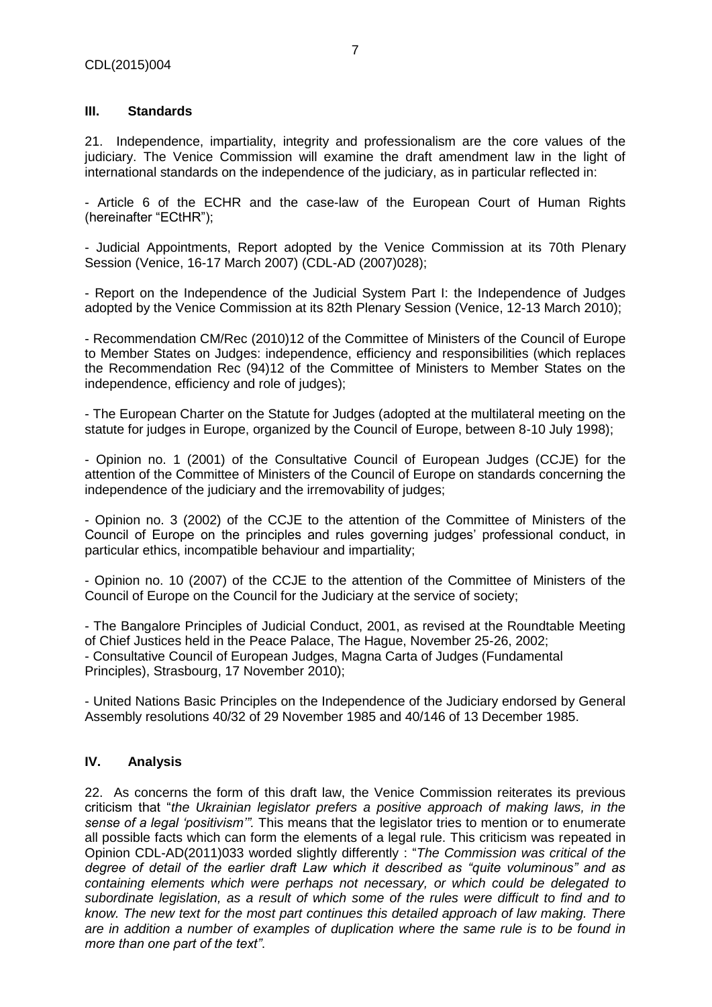#### <span id="page-6-0"></span>**III. Standards**

21. Independence, impartiality, integrity and professionalism are the core values of the judiciary. The Venice Commission will examine the draft amendment law in the light of international standards on the independence of the judiciary, as in particular reflected in:

- Article 6 of the ECHR and the case-law of the European Court of Human Rights (hereinafter "ECtHR");

- Judicial Appointments, Report adopted by the Venice Commission at its 70th Plenary Session (Venice, 16-17 March 2007) (CDL-AD (2007)028);

- Report on the Independence of the Judicial System Part I: the Independence of Judges adopted by the Venice Commission at its 82th Plenary Session (Venice, 12-13 March 2010);

- Recommendation CM/Rec (2010)12 of the Committee of Ministers of the Council of Europe to Member States on Judges: independence, efficiency and responsibilities (which replaces the Recommendation Rec (94)12 of the Committee of Ministers to Member States on the independence, efficiency and role of judges);

- The European Charter on the Statute for Judges (adopted at the multilateral meeting on the statute for judges in Europe, organized by the Council of Europe, between 8-10 July 1998);

- Opinion no. 1 (2001) of the Consultative Council of European Judges (CCJE) for the attention of the Committee of Ministers of the Council of Europe on standards concerning the independence of the judiciary and the irremovability of judges;

- Opinion no. 3 (2002) of the CCJE to the attention of the Committee of Ministers of the Council of Europe on the principles and rules governing judges' professional conduct, in particular ethics, incompatible behaviour and impartiality;

- Opinion no. 10 (2007) of the CCJE to the attention of the Committee of Ministers of the Council of Europe on the Council for the Judiciary at the service of society;

- The Bangalore Principles of Judicial Conduct, 2001, as revised at the Roundtable Meeting of Chief Justices held in the Peace Palace, The Hague, November 25-26, 2002; - Consultative Council of European Judges, Magna Carta of Judges (Fundamental Principles), Strasbourg, 17 November 2010);

- United Nations Basic Principles on the Independence of the Judiciary endorsed by General Assembly resolutions 40/32 of 29 November 1985 and 40/146 of 13 December 1985.

#### <span id="page-6-1"></span>**IV. Analysis**

22. As concerns the form of this draft law, the Venice Commission reiterates its previous criticism that "*the Ukrainian legislator prefers a positive approach of making laws, in the sense of a legal 'positivism'".* This means that the legislator tries to mention or to enumerate all possible facts which can form the elements of a legal rule. This criticism was repeated in Opinion CDL-AD(2011)033 worded slightly differently : "*The Commission was critical of the degree of detail of the earlier draft Law which it described as "quite voluminous" and as containing elements which were perhaps not necessary, or which could be delegated to subordinate legislation, as a result of which some of the rules were difficult to find and to know. The new text for the most part continues this detailed approach of law making. There are in addition a number of examples of duplication where the same rule is to be found in more than one part of the text"*.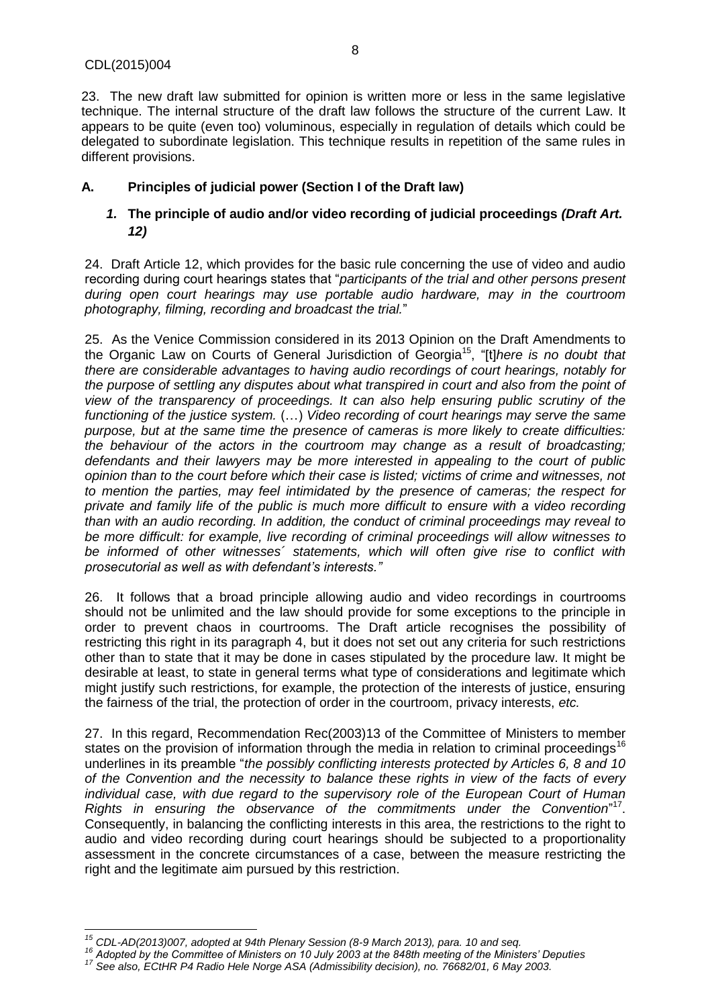23. The new draft law submitted for opinion is written more or less in the same legislative technique. The internal structure of the draft law follows the structure of the current Law. It appears to be quite (even too) voluminous, especially in regulation of details which could be delegated to subordinate legislation. This technique results in repetition of the same rules in different provisions.

## <span id="page-7-1"></span><span id="page-7-0"></span>**A. Principles of judicial power (Section I of the Draft law)**

## *1.* **The principle of audio and/or video recording of judicial proceedings** *(Draft Art. 12)*

24. Draft Article 12, which provides for the basic rule concerning the use of video and audio recording during court hearings states that "*participants of the trial and other persons present during open court hearings may use portable audio hardware, may in the courtroom photography, filming, recording and broadcast the trial.*"

25. As the Venice Commission considered in its 2013 Opinion on the Draft Amendments to the Organic Law on Courts of General Jurisdiction of Georgia<sup>15</sup>, "[t]*here is no doubt that there are considerable advantages to having audio recordings of court hearings, notably for the purpose of settling any disputes about what transpired in court and also from the point of view of the transparency of proceedings. It can also help ensuring public scrutiny of the functioning of the justice system.* (…) *Video recording of court hearings may serve the same purpose, but at the same time the presence of cameras is more likely to create difficulties: the behaviour of the actors in the courtroom may change as a result of broadcasting; defendants and their lawyers may be more interested in appealing to the court of public opinion than to the court before which their case is listed; victims of crime and witnesses, not to mention the parties, may feel intimidated by the presence of cameras; the respect for private and family life of the public is much more difficult to ensure with a video recording than with an audio recording. In addition, the conduct of criminal proceedings may reveal to be more difficult: for example, live recording of criminal proceedings will allow witnesses to be informed of other witnesses´ statements, which will often give rise to conflict with prosecutorial as well as with defendant's interests."*

26. It follows that a broad principle allowing audio and video recordings in courtrooms should not be unlimited and the law should provide for some exceptions to the principle in order to prevent chaos in courtrooms. The Draft article recognises the possibility of restricting this right in its paragraph 4, but it does not set out any criteria for such restrictions other than to state that it may be done in cases stipulated by the procedure law. It might be desirable at least, to state in general terms what type of considerations and legitimate which might justify such restrictions, for example, the protection of the interests of justice, ensuring the fairness of the trial, the protection of order in the courtroom, privacy interests, *etc.*

27. In this regard, Recommendation Rec(2003)13 of the Committee of Ministers to member states on the provision of information through the media in relation to criminal proceedings<sup>16</sup> underlines in its preamble "*the possibly conflicting interests protected by Articles 6, 8 and 10 of the Convention and the necessity to balance these rights in view of the facts of every individual case, with due regard to the supervisory role of the European Court of Human*  Rights in ensuring the observance of the commitments under the Convention<sup>"17</sup>. Consequently, in balancing the conflicting interests in this area, the restrictions to the right to audio and video recording during court hearings should be subjected to a proportionality assessment in the concrete circumstances of a case, between the measure restricting the right and the legitimate aim pursued by this restriction.

 $\overline{\phantom{a}}$ *<sup>15</sup> CDL-AD(2013)007, adopted at 94th Plenary Session (8-9 March 2013), para. 10 and seq.* 

*<sup>16</sup> Adopted by the Committee of Ministers on 10 July 2003 at the 848th meeting of the Ministers' Deputies*

*<sup>17</sup> See also, ECtHR P4 Radio Hele Norge ASA (Admissibility decision), no. 76682/01, 6 May 2003.*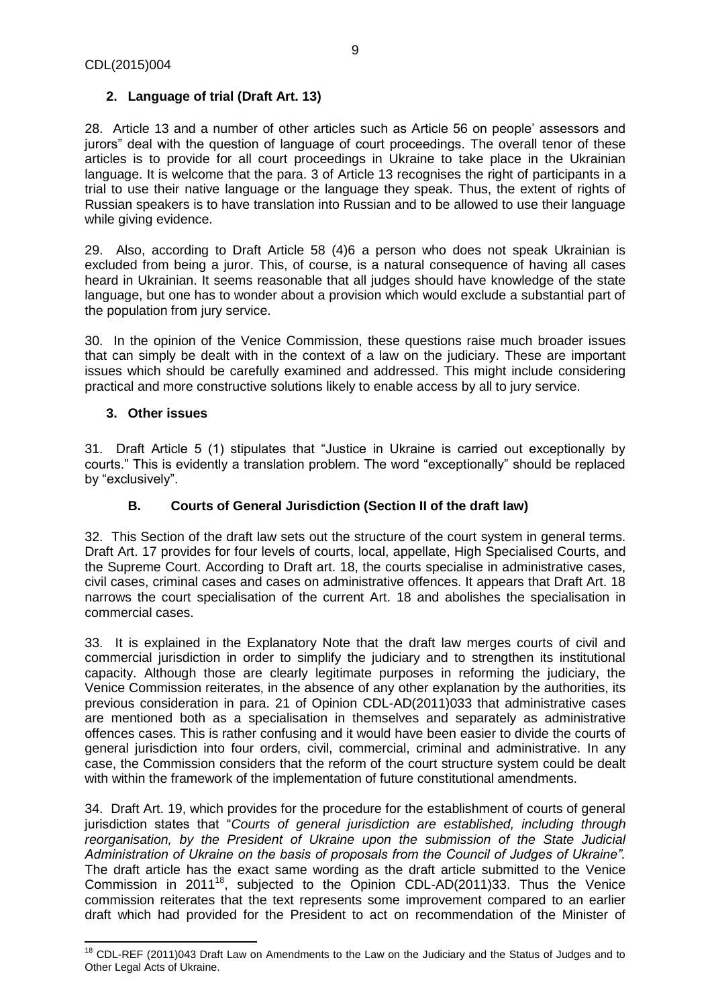## <span id="page-8-0"></span>**2. Language of trial (Draft Art. 13)**

28. Article 13 and a number of other articles such as Article 56 on people' assessors and jurors" deal with the question of language of court proceedings. The overall tenor of these articles is to provide for all court proceedings in Ukraine to take place in the Ukrainian language. It is welcome that the para. 3 of Article 13 recognises the right of participants in a trial to use their native language or the language they speak. Thus, the extent of rights of Russian speakers is to have translation into Russian and to be allowed to use their language while giving evidence.

29. Also, according to Draft Article 58 (4)6 a person who does not speak Ukrainian is excluded from being a juror. This, of course, is a natural consequence of having all cases heard in Ukrainian. It seems reasonable that all judges should have knowledge of the state language, but one has to wonder about a provision which would exclude a substantial part of the population from jury service.

30. In the opinion of the Venice Commission, these questions raise much broader issues that can simply be dealt with in the context of a law on the judiciary. These are important issues which should be carefully examined and addressed. This might include considering practical and more constructive solutions likely to enable access by all to jury service.

#### <span id="page-8-1"></span>**3. Other issues**

l

31. Draft Article 5 (1) stipulates that "Justice in Ukraine is carried out exceptionally by courts." This is evidently a translation problem. The word "exceptionally" should be replaced by "exclusively".

#### **B. Courts of General Jurisdiction (Section II of the draft law)**

<span id="page-8-2"></span>32. This Section of the draft law sets out the structure of the court system in general terms. Draft Art. 17 provides for four levels of courts, local, appellate, High Specialised Courts, and the Supreme Court. According to Draft art. 18, the courts specialise in administrative cases, civil cases, criminal cases and cases on administrative offences. It appears that Draft Art. 18 narrows the court specialisation of the current Art. 18 and abolishes the specialisation in commercial cases.

33. It is explained in the Explanatory Note that the draft law merges courts of civil and commercial jurisdiction in order to simplify the judiciary and to strengthen its institutional capacity. Although those are clearly legitimate purposes in reforming the judiciary, the Venice Commission reiterates, in the absence of any other explanation by the authorities, its previous consideration in para. 21 of Opinion CDL-AD(2011)033 that administrative cases are mentioned both as a specialisation in themselves and separately as administrative offences cases. This is rather confusing and it would have been easier to divide the courts of general jurisdiction into four orders, civil, commercial, criminal and administrative. In any case, the Commission considers that the reform of the court structure system could be dealt with within the framework of the implementation of future constitutional amendments.

34. Draft Art. 19, which provides for the procedure for the establishment of courts of general jurisdiction states that "*Courts of general jurisdiction are established, including through reorganisation, by the President of Ukraine upon the submission of the State Judicial Administration of Ukraine on the basis of proposals from the Council of Judges of Ukraine".*  The draft article has the exact same wording as the draft article submitted to the Venice Commission in 2011<sup>18</sup>, subjected to the Opinion CDL-AD(2011)33. Thus the Venice commission reiterates that the text represents some improvement compared to an earlier draft which had provided for the President to act on recommendation of the Minister of

<sup>&</sup>lt;sup>18</sup> CDL-REF (2011)043 Draft Law on Amendments to the Law on the Judiciary and the Status of Judges and to Other Legal Acts of Ukraine.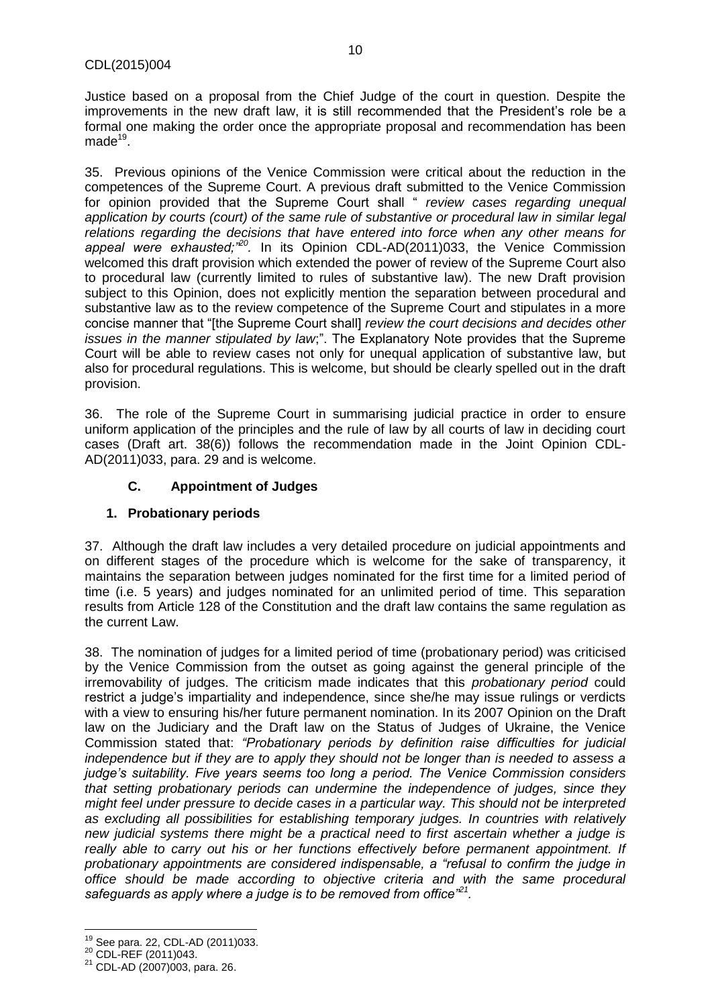Justice based on a proposal from the Chief Judge of the court in question. Despite the improvements in the new draft law, it is still recommended that the President's role be a formal one making the order once the appropriate proposal and recommendation has been made $^{19}$ .

35. Previous opinions of the Venice Commission were critical about the reduction in the competences of the Supreme Court. A previous draft submitted to the Venice Commission for opinion provided that the Supreme Court shall " *review cases regarding unequal application by courts (court) of the same rule of substantive or procedural law in similar legal relations regarding the decisions that have entered into force when any other means for appeal were exhausted;"<sup>20</sup> .* In its Opinion CDL-AD(2011)033, the Venice Commission welcomed this draft provision which extended the power of review of the Supreme Court also to procedural law (currently limited to rules of substantive law). The new Draft provision subject to this Opinion, does not explicitly mention the separation between procedural and substantive law as to the review competence of the Supreme Court and stipulates in a more concise manner that "[the Supreme Court shall] *review the court decisions and decides other issues in the manner stipulated by law*;". The Explanatory Note provides that the Supreme Court will be able to review cases not only for unequal application of substantive law, but also for procedural regulations. This is welcome, but should be clearly spelled out in the draft provision.

36. The role of the Supreme Court in summarising judicial practice in order to ensure uniform application of the principles and the rule of law by all courts of law in deciding court cases (Draft art. 38(6)) follows the recommendation made in the Joint Opinion CDL-AD(2011)033, para. 29 and is welcome.

## **C. Appointment of Judges**

#### <span id="page-9-1"></span><span id="page-9-0"></span>**1. Probationary periods**

37. Although the draft law includes a very detailed procedure on judicial appointments and on different stages of the procedure which is welcome for the sake of transparency, it maintains the separation between judges nominated for the first time for a limited period of time (i.e. 5 years) and judges nominated for an unlimited period of time. This separation results from Article 128 of the Constitution and the draft law contains the same regulation as the current Law.

38. The nomination of judges for a limited period of time (probationary period) was criticised by the Venice Commission from the outset as going against the general principle of the irremovability of judges. The criticism made indicates that this *probationary period* could restrict a judge's impartiality and independence, since she/he may issue rulings or verdicts with a view to ensuring his/her future permanent nomination. In its 2007 Opinion on the Draft law on the Judiciary and the Draft law on the Status of Judges of Ukraine, the Venice Commission stated that: *"Probationary periods by definition raise difficulties for judicial independence but if they are to apply they should not be longer than is needed to assess a judge's suitability. Five years seems too long a period. The Venice Commission considers that setting probationary periods can undermine the independence of judges, since they might feel under pressure to decide cases in a particular way. This should not be interpreted as excluding all possibilities for establishing temporary judges. In countries with relatively new judicial systems there might be a practical need to first ascertain whether a judge is*  really able to carry out his or her functions effectively before permanent appointment. If *probationary appointments are considered indispensable, a "refusal to confirm the judge in office should be made according to objective criteria and with the same procedural safeguards as apply where a judge is to be removed from office"<sup>21</sup> .*

 $\overline{\phantom{a}}$ <sup>19</sup> See para. 22, CDL-AD (2011)033.

<sup>20</sup> CDL-REF (2011)043.

 $21$  CDL-AD (2007)003, para. 26.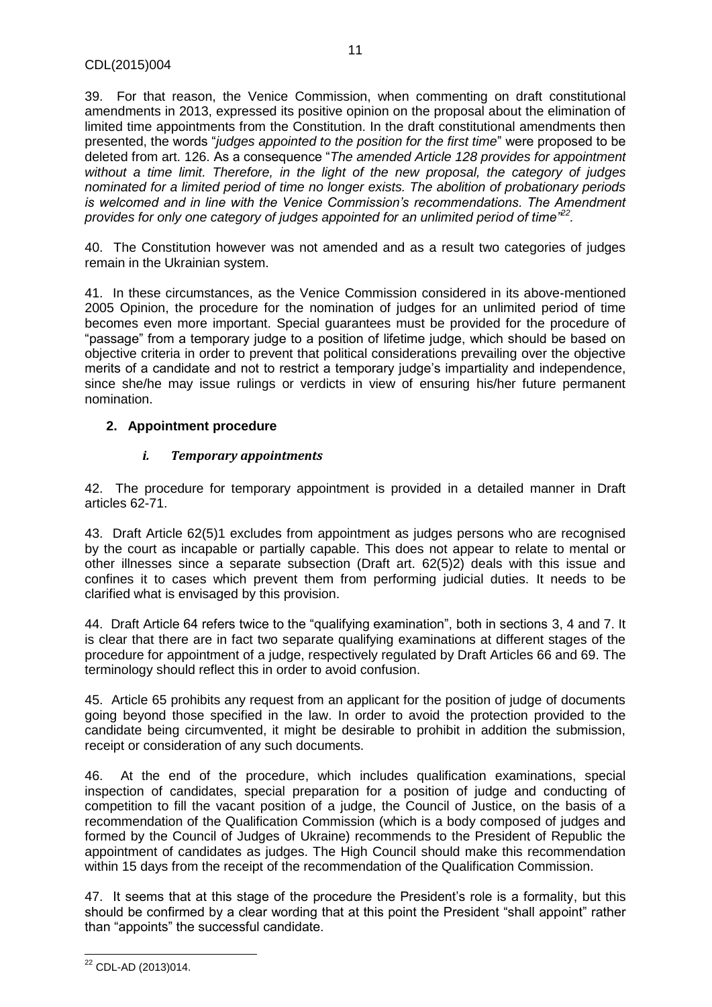39. For that reason, the Venice Commission, when commenting on draft constitutional amendments in 2013, expressed its positive opinion on the proposal about the elimination of limited time appointments from the Constitution. In the draft constitutional amendments then presented, the words "*judges appointed to the position for the first time*" were proposed to be deleted from art. 126. As a consequence "*The amended Article 128 provides for appointment without a time limit. Therefore, in the light of the new proposal, the category of judges nominated for a limited period of time no longer exists. The abolition of probationary periods is welcomed and in line with the Venice Commission's recommendations. The Amendment provides for only one category of judges appointed for an unlimited period of time"<sup>22</sup> .*

40. The Constitution however was not amended and as a result two categories of judges remain in the Ukrainian system.

41. In these circumstances, as the Venice Commission considered in its above-mentioned 2005 Opinion, the procedure for the nomination of judges for an unlimited period of time becomes even more important. Special guarantees must be provided for the procedure of "passage" from a temporary judge to a position of lifetime judge, which should be based on objective criteria in order to prevent that political considerations prevailing over the objective merits of a candidate and not to restrict a temporary judge's impartiality and independence, since she/he may issue rulings or verdicts in view of ensuring his/her future permanent nomination.

## <span id="page-10-1"></span><span id="page-10-0"></span>**2. Appointment procedure**

## *i. Temporary appointments*

42. The procedure for temporary appointment is provided in a detailed manner in Draft articles 62-71.

43. Draft Article 62(5)1 excludes from appointment as judges persons who are recognised by the court as incapable or partially capable. This does not appear to relate to mental or other illnesses since a separate subsection (Draft art. 62(5)2) deals with this issue and confines it to cases which prevent them from performing judicial duties. It needs to be clarified what is envisaged by this provision.

44. Draft Article 64 refers twice to the "qualifying examination", both in sections 3, 4 and 7. It is clear that there are in fact two separate qualifying examinations at different stages of the procedure for appointment of a judge, respectively regulated by Draft Articles 66 and 69. The terminology should reflect this in order to avoid confusion.

45. Article 65 prohibits any request from an applicant for the position of judge of documents going beyond those specified in the law. In order to avoid the protection provided to the candidate being circumvented, it might be desirable to prohibit in addition the submission, receipt or consideration of any such documents.

46. At the end of the procedure, which includes qualification examinations, special inspection of candidates, special preparation for a position of judge and conducting of competition to fill the vacant position of a judge, the Council of Justice, on the basis of a recommendation of the Qualification Commission (which is a body composed of judges and formed by the Council of Judges of Ukraine) recommends to the President of Republic the appointment of candidates as judges. The High Council should make this recommendation within 15 days from the receipt of the recommendation of the Qualification Commission.

47. It seems that at this stage of the procedure the President's role is a formality, but this should be confirmed by a clear wording that at this point the President "shall appoint" rather than "appoints" the successful candidate.

 $\overline{\phantom{a}}$ <sup>22</sup> CDL-AD (2013)014.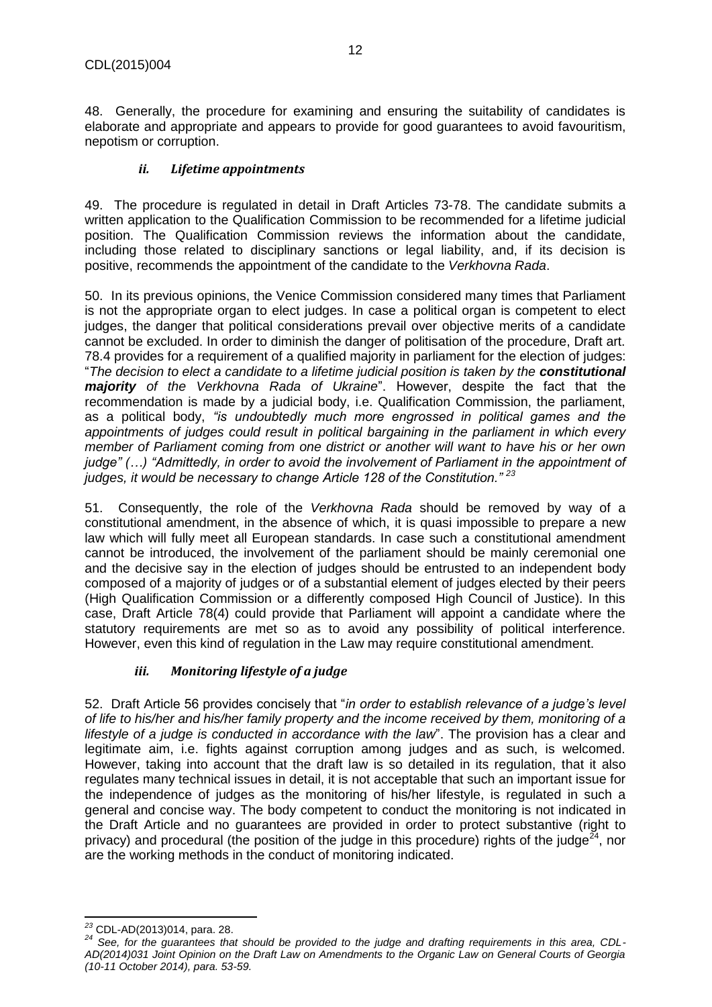<span id="page-11-0"></span>48. Generally, the procedure for examining and ensuring the suitability of candidates is elaborate and appropriate and appears to provide for good guarantees to avoid favouritism, nepotism or corruption.

#### *ii. Lifetime appointments*

49. The procedure is regulated in detail in Draft Articles 73-78. The candidate submits a written application to the Qualification Commission to be recommended for a lifetime judicial position. The Qualification Commission reviews the information about the candidate, including those related to disciplinary sanctions or legal liability, and, if its decision is positive, recommends the appointment of the candidate to the *Verkhovna Rada*.

50. In its previous opinions, the Venice Commission considered many times that Parliament is not the appropriate organ to elect judges. In case a political organ is competent to elect judges, the danger that political considerations prevail over objective merits of a candidate cannot be excluded. In order to diminish the danger of politisation of the procedure, Draft art. 78.4 provides for a requirement of a qualified majority in parliament for the election of judges: "*The decision to elect a candidate to a lifetime judicial position is taken by the constitutional majority of the Verkhovna Rada of Ukraine*". However, despite the fact that the recommendation is made by a judicial body, i.e. Qualification Commission, the parliament, as a political body, *"is undoubtedly much more engrossed in political games and the appointments of judges could result in political bargaining in the parliament in which every member of Parliament coming from one district or another will want to have his or her own judge" (…) "Admittedly, in order to avoid the involvement of Parliament in the appointment of judges, it would be necessary to change Article 128 of the Constitution." <sup>23</sup>*

51. Consequently, the role of the *Verkhovna Rada* should be removed by way of a constitutional amendment, in the absence of which, it is quasi impossible to prepare a new law which will fully meet all European standards. In case such a constitutional amendment cannot be introduced, the involvement of the parliament should be mainly ceremonial one and the decisive say in the election of judges should be entrusted to an independent body composed of a majority of judges or of a substantial element of judges elected by their peers (High Qualification Commission or a differently composed High Council of Justice). In this case, Draft Article 78(4) could provide that Parliament will appoint a candidate where the statutory requirements are met so as to avoid any possibility of political interference. However, even this kind of regulation in the Law may require constitutional amendment.

## *iii. Monitoring lifestyle of a judge*

<span id="page-11-1"></span>52. Draft Article 56 provides concisely that "*in order to establish relevance of a judge's level of life to his/her and his/her family property and the income received by them, monitoring of a lifestyle of a judge is conducted in accordance with the law*". The provision has a clear and legitimate aim, i.e. fights against corruption among judges and as such, is welcomed. However, taking into account that the draft law is so detailed in its regulation, that it also regulates many technical issues in detail, it is not acceptable that such an important issue for the independence of judges as the monitoring of his/her lifestyle, is regulated in such a general and concise way. The body competent to conduct the monitoring is not indicated in the Draft Article and no guarantees are provided in order to protect substantive (right to privacy) and procedural (the position of the judge in this procedure) rights of the judge<sup>24</sup>, nor are the working methods in the conduct of monitoring indicated.

l *<sup>23</sup>* [CDL-AD\(2013\)014](http://www.venice.coe.int/docs/2002/CDL-AD(2002)026-e.asp), para. 28.

*<sup>24</sup> See, for the guarantees that should be provided to the judge and drafting requirements in this area, CDL-AD(2014)031 Joint Opinion on the Draft Law on Amendments to the Organic Law on General Courts of Georgia (10-11 October 2014), para. 53-59.*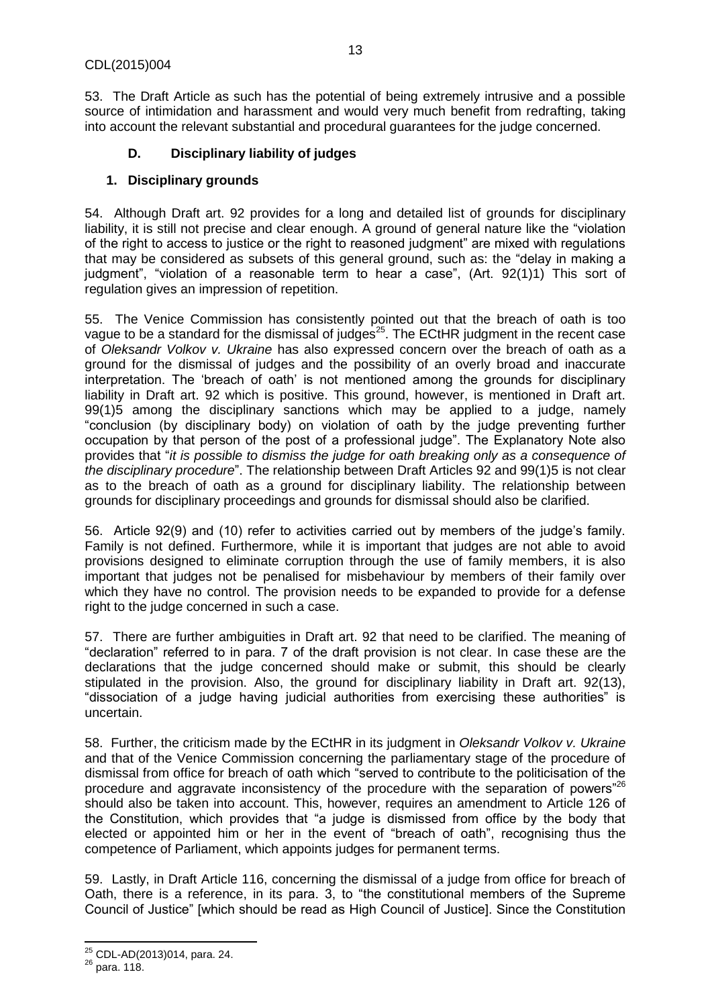53. The Draft Article as such has the potential of being extremely intrusive and a possible source of intimidation and harassment and would very much benefit from redrafting, taking into account the relevant substantial and procedural guarantees for the judge concerned.

## **D. Disciplinary liability of judges**

## <span id="page-12-1"></span><span id="page-12-0"></span>**1. Disciplinary grounds**

54. Although Draft art. 92 provides for a long and detailed list of grounds for disciplinary liability, it is still not precise and clear enough. A ground of general nature like the "violation of the right to access to justice or the right to reasoned judgment" are mixed with regulations that may be considered as subsets of this general ground, such as: the "delay in making a judgment", "violation of a reasonable term to hear a case", (Art. 92(1)1) This sort of regulation gives an impression of repetition.

55. The Venice Commission has consistently pointed out that the breach of oath is too vague to be a standard for the dismissal of judges<sup>25</sup>. The ECtHR judgment in the recent case of *Oleksandr Volkov v. Ukraine* has also expressed concern over the breach of oath as a ground for the dismissal of judges and the possibility of an overly broad and inaccurate interpretation. The 'breach of oath' is not mentioned among the grounds for disciplinary liability in Draft art. 92 which is positive. This ground, however, is mentioned in Draft art. 99(1)5 among the disciplinary sanctions which may be applied to a judge, namely "conclusion (by disciplinary body) on violation of oath by the judge preventing further occupation by that person of the post of a professional judge". The Explanatory Note also provides that "*it is possible to dismiss the judge for oath breaking only as a consequence of the disciplinary procedure*". The relationship between Draft Articles 92 and 99(1)5 is not clear as to the breach of oath as a ground for disciplinary liability. The relationship between grounds for disciplinary proceedings and grounds for dismissal should also be clarified.

56. Article 92(9) and (10) refer to activities carried out by members of the judge's family. Family is not defined. Furthermore, while it is important that judges are not able to avoid provisions designed to eliminate corruption through the use of family members, it is also important that judges not be penalised for misbehaviour by members of their family over which they have no control. The provision needs to be expanded to provide for a defense right to the judge concerned in such a case.

57. There are further ambiguities in Draft art. 92 that need to be clarified. The meaning of "declaration" referred to in para. 7 of the draft provision is not clear. In case these are the declarations that the judge concerned should make or submit, this should be clearly stipulated in the provision. Also, the ground for disciplinary liability in Draft art. 92(13), "dissociation of a judge having judicial authorities from exercising these authorities" is uncertain.

58. Further, the criticism made by the ECtHR in its judgment in *Oleksandr Volkov v. Ukraine* and that of the Venice Commission concerning the parliamentary stage of the procedure of dismissal from office for breach of oath which "served to contribute to the politicisation of the procedure and aggravate inconsistency of the procedure with the separation of powers<sup>"26</sup> should also be taken into account. This, however, requires an amendment to Article 126 of the Constitution, which provides that "a judge is dismissed from office by the body that elected or appointed him or her in the event of "breach of oath", recognising thus the competence of Parliament, which appoints judges for permanent terms.

59. Lastly, in Draft Article 116, concerning the dismissal of a judge from office for breach of Oath, there is a reference, in its para. 3, to "the constitutional members of the Supreme Council of Justice" [which should be read as High Council of Justice]. Since the Constitution

l

<sup>25</sup> CDL-AD(2013)014, para. 24.

 $26$  para. 118.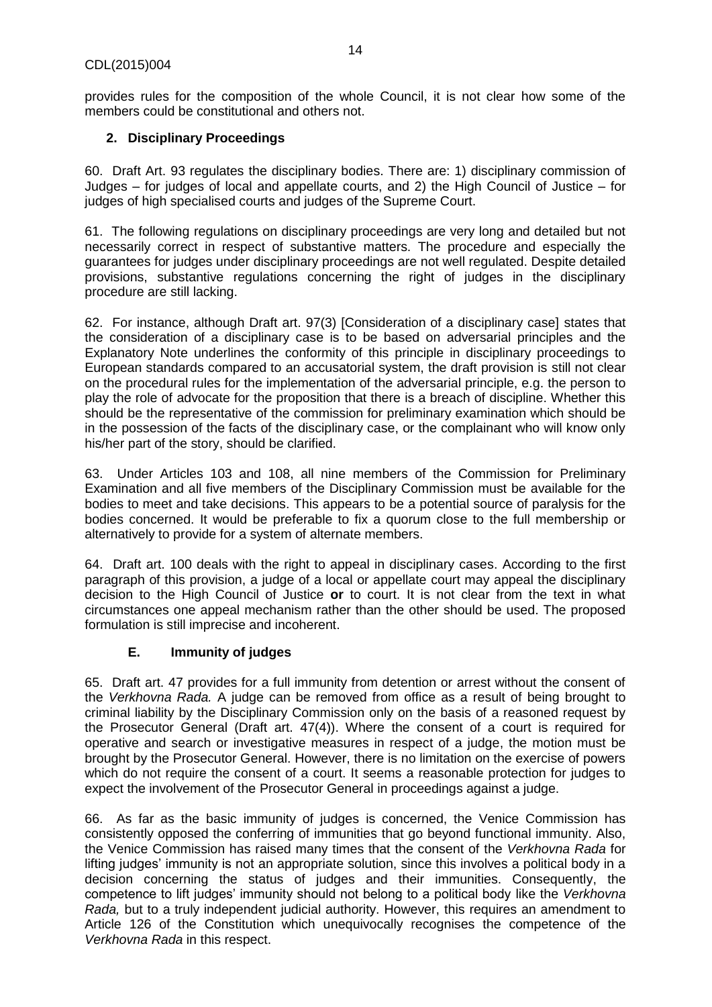provides rules for the composition of the whole Council, it is not clear how some of the members could be constitutional and others not.

## <span id="page-13-0"></span>**2. Disciplinary Proceedings**

60. Draft Art. 93 regulates the disciplinary bodies. There are: 1) disciplinary commission of Judges – for judges of local and appellate courts, and 2) the High Council of Justice – for judges of high specialised courts and judges of the Supreme Court.

61. The following regulations on disciplinary proceedings are very long and detailed but not necessarily correct in respect of substantive matters. The procedure and especially the guarantees for judges under disciplinary proceedings are not well regulated. Despite detailed provisions, substantive regulations concerning the right of judges in the disciplinary procedure are still lacking.

62. For instance, although Draft art. 97(3) [Consideration of a disciplinary case] states that the consideration of a disciplinary case is to be based on adversarial principles and the Explanatory Note underlines the conformity of this principle in disciplinary proceedings to European standards compared to an accusatorial system, the draft provision is still not clear on the procedural rules for the implementation of the adversarial principle, e.g. the person to play the role of advocate for the proposition that there is a breach of discipline. Whether this should be the representative of the commission for preliminary examination which should be in the possession of the facts of the disciplinary case, or the complainant who will know only his/her part of the story, should be clarified.

63. Under Articles 103 and 108, all nine members of the Commission for Preliminary Examination and all five members of the Disciplinary Commission must be available for the bodies to meet and take decisions. This appears to be a potential source of paralysis for the bodies concerned. It would be preferable to fix a quorum close to the full membership or alternatively to provide for a system of alternate members.

64. Draft art. 100 deals with the right to appeal in disciplinary cases. According to the first paragraph of this provision, a judge of a local or appellate court may appeal the disciplinary decision to the High Council of Justice **or** to court. It is not clear from the text in what circumstances one appeal mechanism rather than the other should be used. The proposed formulation is still imprecise and incoherent.

#### **E. Immunity of judges**

<span id="page-13-1"></span>65. Draft art. 47 provides for a full immunity from detention or arrest without the consent of the *Verkhovna Rada.* A judge can be removed from office as a result of being brought to criminal liability by the Disciplinary Commission only on the basis of a reasoned request by the Prosecutor General (Draft art. 47(4)). Where the consent of a court is required for operative and search or investigative measures in respect of a judge, the motion must be brought by the Prosecutor General. However, there is no limitation on the exercise of powers which do not require the consent of a court. It seems a reasonable protection for judges to expect the involvement of the Prosecutor General in proceedings against a judge.

66. As far as the basic immunity of judges is concerned, the Venice Commission has consistently opposed the conferring of immunities that go beyond functional immunity. Also, the Venice Commission has raised many times that the consent of the *Verkhovna Rada* for lifting judges' immunity is not an appropriate solution, since this involves a political body in a decision concerning the status of judges and their immunities. Consequently, the competence to lift judges' immunity should not belong to a political body like the *Verkhovna Rada,* but to a truly independent judicial authority. However, this requires an amendment to Article 126 of the Constitution which unequivocally recognises the competence of the *Verkhovna Rada* in this respect.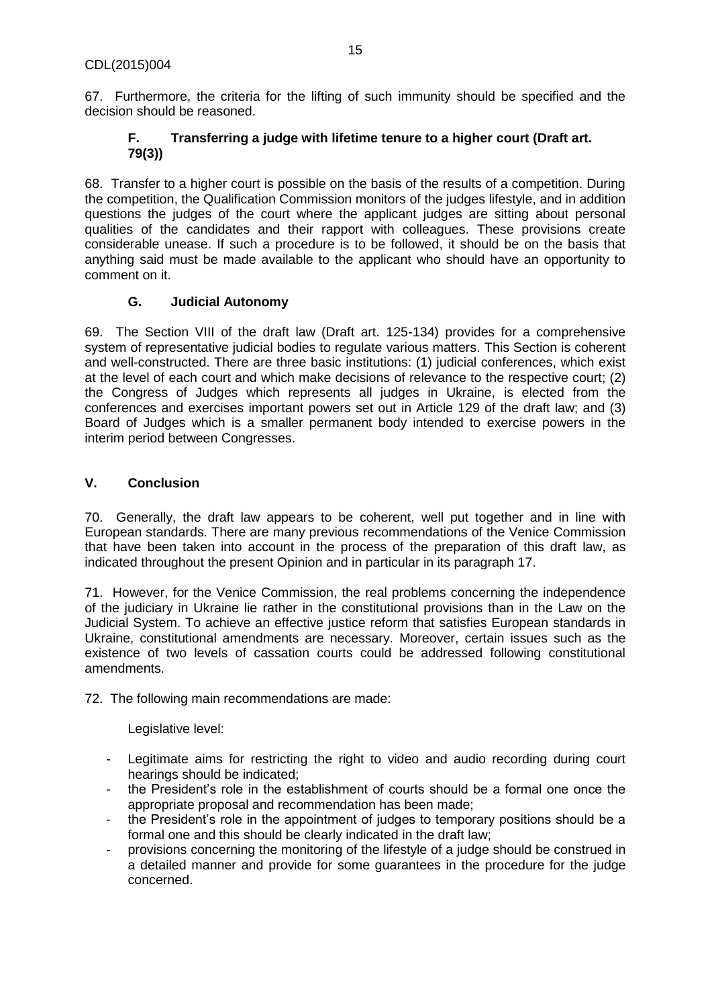<span id="page-14-0"></span>67. Furthermore, the criteria for the lifting of such immunity should be specified and the decision should be reasoned.

## **F. Transferring a judge with lifetime tenure to a higher court (Draft art. 79(3))**

68. Transfer to a higher court is possible on the basis of the results of a competition. During the competition, the Qualification Commission monitors of the judges lifestyle, and in addition questions the judges of the court where the applicant judges are sitting about personal qualities of the candidates and their rapport with colleagues. These provisions create considerable unease. If such a procedure is to be followed, it should be on the basis that anything said must be made available to the applicant who should have an opportunity to comment on it.

## **G. Judicial Autonomy**

<span id="page-14-1"></span>69. The Section VIII of the draft law (Draft art. 125-134) provides for a comprehensive system of representative judicial bodies to regulate various matters. This Section is coherent and well-constructed. There are three basic institutions: (1) judicial conferences, which exist at the level of each court and which make decisions of relevance to the respective court; (2) the Congress of Judges which represents all judges in Ukraine, is elected from the conferences and exercises important powers set out in Article 129 of the draft law; and (3) Board of Judges which is a smaller permanent body intended to exercise powers in the interim period between Congresses.

## <span id="page-14-2"></span>**V. Conclusion**

70. Generally, the draft law appears to be coherent, well put together and in line with European standards. There are many previous recommendations of the Venice Commission that have been taken into account in the process of the preparation of this draft law, as indicated throughout the present Opinion and in particular in its paragraph 17.

71. However, for the Venice Commission, the real problems concerning the independence of the judiciary in Ukraine lie rather in the constitutional provisions than in the Law on the Judicial System. To achieve an effective justice reform that satisfies European standards in Ukraine, constitutional amendments are necessary. Moreover, certain issues such as the existence of two levels of cassation courts could be addressed following constitutional amendments.

72. The following main recommendations are made:

Legislative level:

- Legitimate aims for restricting the right to video and audio recording during court hearings should be indicated;
- the President's role in the establishment of courts should be a formal one once the appropriate proposal and recommendation has been made;
- the President's role in the appointment of judges to temporary positions should be a formal one and this should be clearly indicated in the draft law;
- provisions concerning the monitoring of the lifestyle of a judge should be construed in a detailed manner and provide for some guarantees in the procedure for the judge concerned.